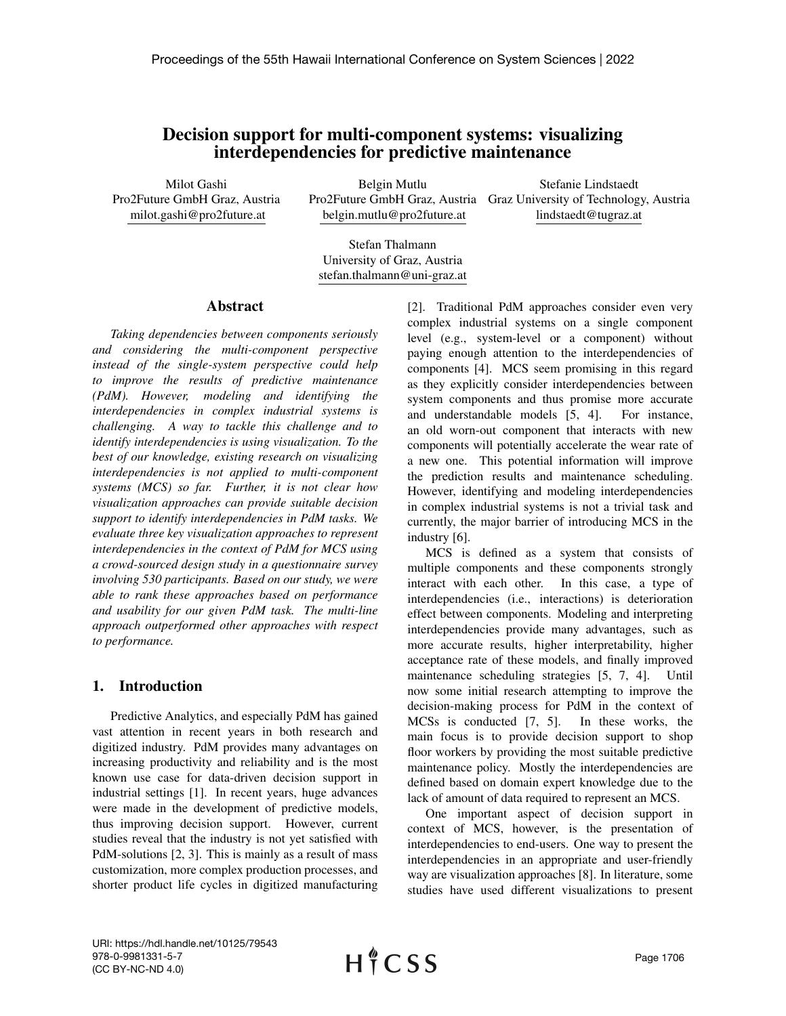# Decision support for multi-component systems: visualizing interdependencies for predictive maintenance

Milot Gashi Pro2Future GmbH Graz, Austria milot.gashi@pro2future.at

Belgin Mutlu belgin.mutlu@pro2future.at

Pro2Future GmbH Graz, Austria Graz University of Technology, Austria Stefanie Lindstaedt lindstaedt@tugraz.at

Stefan Thalmann University of Graz, Austria stefan.thalmann@uni-graz.at

### Abstract

*Taking dependencies between components seriously and considering the multi-component perspective instead of the single-system perspective could help to improve the results of predictive maintenance (PdM). However, modeling and identifying the interdependencies in complex industrial systems is challenging. A way to tackle this challenge and to identify interdependencies is using visualization. To the best of our knowledge, existing research on visualizing interdependencies is not applied to multi-component systems (MCS) so far. Further, it is not clear how visualization approaches can provide suitable decision support to identify interdependencies in PdM tasks. We evaluate three key visualization approaches to represent interdependencies in the context of PdM for MCS using a crowd-sourced design study in a questionnaire survey involving 530 participants. Based on our study, we were able to rank these approaches based on performance and usability for our given PdM task. The multi-line approach outperformed other approaches with respect to performance.*

# 1. Introduction

Predictive Analytics, and especially PdM has gained vast attention in recent years in both research and digitized industry. PdM provides many advantages on increasing productivity and reliability and is the most known use case for data-driven decision support in industrial settings [1]. In recent years, huge advances were made in the development of predictive models, thus improving decision support. However, current studies reveal that the industry is not yet satisfied with PdM-solutions [2, 3]. This is mainly as a result of mass customization, more complex production processes, and shorter product life cycles in digitized manufacturing [2]. Traditional PdM approaches consider even very complex industrial systems on a single component level (e.g., system-level or a component) without paying enough attention to the interdependencies of components [4]. MCS seem promising in this regard as they explicitly consider interdependencies between system components and thus promise more accurate and understandable models [5, 4]. For instance, an old worn-out component that interacts with new components will potentially accelerate the wear rate of a new one. This potential information will improve the prediction results and maintenance scheduling. However, identifying and modeling interdependencies in complex industrial systems is not a trivial task and currently, the major barrier of introducing MCS in the industry [6].

MCS is defined as a system that consists of multiple components and these components strongly interact with each other. In this case, a type of interdependencies (i.e., interactions) is deterioration effect between components. Modeling and interpreting interdependencies provide many advantages, such as more accurate results, higher interpretability, higher acceptance rate of these models, and finally improved maintenance scheduling strategies [5, 7, 4]. Until now some initial research attempting to improve the decision-making process for PdM in the context of MCSs is conducted [7, 5]. In these works, the main focus is to provide decision support to shop floor workers by providing the most suitable predictive maintenance policy. Mostly the interdependencies are defined based on domain expert knowledge due to the lack of amount of data required to represent an MCS.

One important aspect of decision support in context of MCS, however, is the presentation of interdependencies to end-users. One way to present the interdependencies in an appropriate and user-friendly way are visualization approaches [8]. In literature, some studies have used different visualizations to present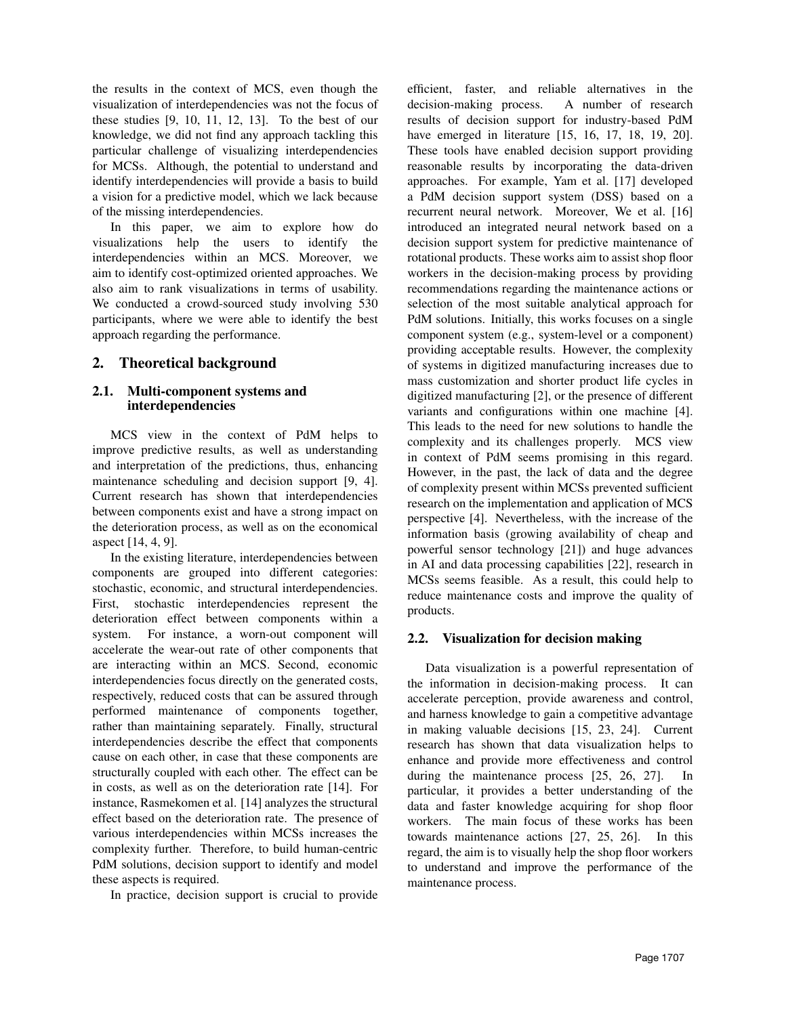the results in the context of MCS, even though the visualization of interdependencies was not the focus of these studies [9, 10, 11, 12, 13]. To the best of our knowledge, we did not find any approach tackling this particular challenge of visualizing interdependencies for MCSs. Although, the potential to understand and identify interdependencies will provide a basis to build a vision for a predictive model, which we lack because of the missing interdependencies.

In this paper, we aim to explore how do visualizations help the users to identify the interdependencies within an MCS. Moreover, we aim to identify cost-optimized oriented approaches. We also aim to rank visualizations in terms of usability. We conducted a crowd-sourced study involving 530 participants, where we were able to identify the best approach regarding the performance.

# 2. Theoretical background

# 2.1. Multi-component systems and interdependencies

MCS view in the context of PdM helps to improve predictive results, as well as understanding and interpretation of the predictions, thus, enhancing maintenance scheduling and decision support [9, 4]. Current research has shown that interdependencies between components exist and have a strong impact on the deterioration process, as well as on the economical aspect [14, 4, 9].

In the existing literature, interdependencies between components are grouped into different categories: stochastic, economic, and structural interdependencies. First, stochastic interdependencies represent the deterioration effect between components within a system. For instance, a worn-out component will accelerate the wear-out rate of other components that are interacting within an MCS. Second, economic interdependencies focus directly on the generated costs, respectively, reduced costs that can be assured through performed maintenance of components together, rather than maintaining separately. Finally, structural interdependencies describe the effect that components cause on each other, in case that these components are structurally coupled with each other. The effect can be in costs, as well as on the deterioration rate [14]. For instance, Rasmekomen et al. [14] analyzes the structural effect based on the deterioration rate. The presence of various interdependencies within MCSs increases the complexity further. Therefore, to build human-centric PdM solutions, decision support to identify and model these aspects is required.

In practice, decision support is crucial to provide

efficient, faster, and reliable alternatives in the decision-making process. A number of research results of decision support for industry-based PdM have emerged in literature [15, 16, 17, 18, 19, 20]. These tools have enabled decision support providing reasonable results by incorporating the data-driven approaches. For example, Yam et al. [17] developed a PdM decision support system (DSS) based on a recurrent neural network. Moreover, We et al. [16] introduced an integrated neural network based on a decision support system for predictive maintenance of rotational products. These works aim to assist shop floor workers in the decision-making process by providing recommendations regarding the maintenance actions or selection of the most suitable analytical approach for PdM solutions. Initially, this works focuses on a single component system (e.g., system-level or a component) providing acceptable results. However, the complexity of systems in digitized manufacturing increases due to mass customization and shorter product life cycles in digitized manufacturing [2], or the presence of different variants and configurations within one machine [4]. This leads to the need for new solutions to handle the complexity and its challenges properly. MCS view in context of PdM seems promising in this regard. However, in the past, the lack of data and the degree of complexity present within MCSs prevented sufficient research on the implementation and application of MCS perspective [4]. Nevertheless, with the increase of the information basis (growing availability of cheap and powerful sensor technology [21]) and huge advances in AI and data processing capabilities [22], research in MCSs seems feasible. As a result, this could help to reduce maintenance costs and improve the quality of products.

# 2.2. Visualization for decision making

Data visualization is a powerful representation of the information in decision-making process. It can accelerate perception, provide awareness and control, and harness knowledge to gain a competitive advantage in making valuable decisions [15, 23, 24]. Current research has shown that data visualization helps to enhance and provide more effectiveness and control during the maintenance process  $[25, 26, 27]$ . particular, it provides a better understanding of the data and faster knowledge acquiring for shop floor workers. The main focus of these works has been towards maintenance actions [27, 25, 26]. In this regard, the aim is to visually help the shop floor workers to understand and improve the performance of the maintenance process.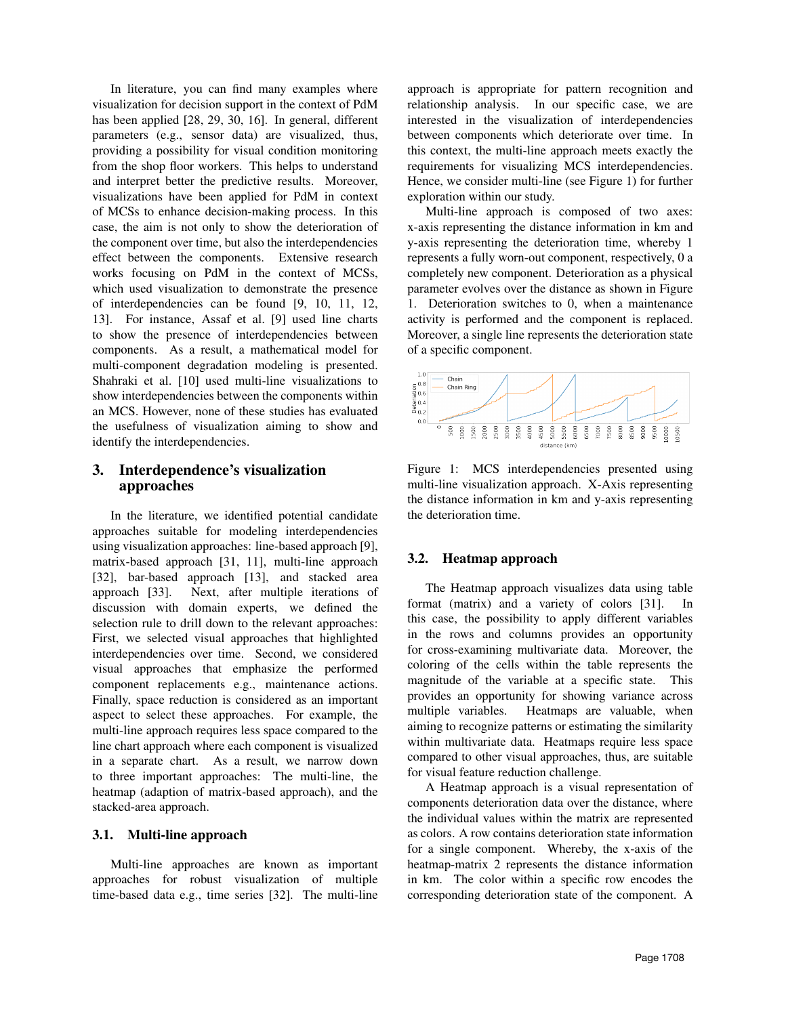In literature, you can find many examples where visualization for decision support in the context of PdM has been applied [28, 29, 30, 16]. In general, different parameters (e.g., sensor data) are visualized, thus, providing a possibility for visual condition monitoring from the shop floor workers. This helps to understand and interpret better the predictive results. Moreover, visualizations have been applied for PdM in context of MCSs to enhance decision-making process. In this case, the aim is not only to show the deterioration of the component over time, but also the interdependencies effect between the components. Extensive research works focusing on PdM in the context of MCSs, which used visualization to demonstrate the presence of interdependencies can be found [9, 10, 11, 12, 13]. For instance, Assaf et al. [9] used line charts to show the presence of interdependencies between components. As a result, a mathematical model for multi-component degradation modeling is presented. Shahraki et al. [10] used multi-line visualizations to show interdependencies between the components within an MCS. However, none of these studies has evaluated the usefulness of visualization aiming to show and identify the interdependencies.

# 3. Interdependence's visualization approaches

In the literature, we identified potential candidate approaches suitable for modeling interdependencies using visualization approaches: line-based approach [9], matrix-based approach [31, 11], multi-line approach [32], bar-based approach [13], and stacked area approach [33]. Next, after multiple iterations of discussion with domain experts, we defined the selection rule to drill down to the relevant approaches: First, we selected visual approaches that highlighted interdependencies over time. Second, we considered visual approaches that emphasize the performed component replacements e.g., maintenance actions. Finally, space reduction is considered as an important aspect to select these approaches. For example, the multi-line approach requires less space compared to the line chart approach where each component is visualized in a separate chart. As a result, we narrow down to three important approaches: The multi-line, the heatmap (adaption of matrix-based approach), and the stacked-area approach.

# 3.1. Multi-line approach

Multi-line approaches are known as important approaches for robust visualization of multiple time-based data e.g., time series [32]. The multi-line

approach is appropriate for pattern recognition and relationship analysis. In our specific case, we are interested in the visualization of interdependencies between components which deteriorate over time. In this context, the multi-line approach meets exactly the requirements for visualizing MCS interdependencies. Hence, we consider multi-line (see Figure 1) for further exploration within our study.

Multi-line approach is composed of two axes: x-axis representing the distance information in km and y-axis representing the deterioration time, whereby 1 represents a fully worn-out component, respectively, 0 a completely new component. Deterioration as a physical parameter evolves over the distance as shown in Figure 1. Deterioration switches to 0, when a maintenance activity is performed and the component is replaced. Moreover, a single line represents the deterioration state of a specific component.



Figure 1: MCS interdependencies presented using multi-line visualization approach. X-Axis representing the distance information in km and y-axis representing the deterioration time.

# 3.2. Heatmap approach

The Heatmap approach visualizes data using table format (matrix) and a variety of colors [31]. In this case, the possibility to apply different variables in the rows and columns provides an opportunity for cross-examining multivariate data. Moreover, the coloring of the cells within the table represents the magnitude of the variable at a specific state. This provides an opportunity for showing variance across multiple variables. Heatmaps are valuable, when aiming to recognize patterns or estimating the similarity within multivariate data. Heatmaps require less space compared to other visual approaches, thus, are suitable for visual feature reduction challenge.

A Heatmap approach is a visual representation of components deterioration data over the distance, where the individual values within the matrix are represented as colors. A row contains deterioration state information for a single component. Whereby, the x-axis of the heatmap-matrix 2 represents the distance information in km. The color within a specific row encodes the corresponding deterioration state of the component. A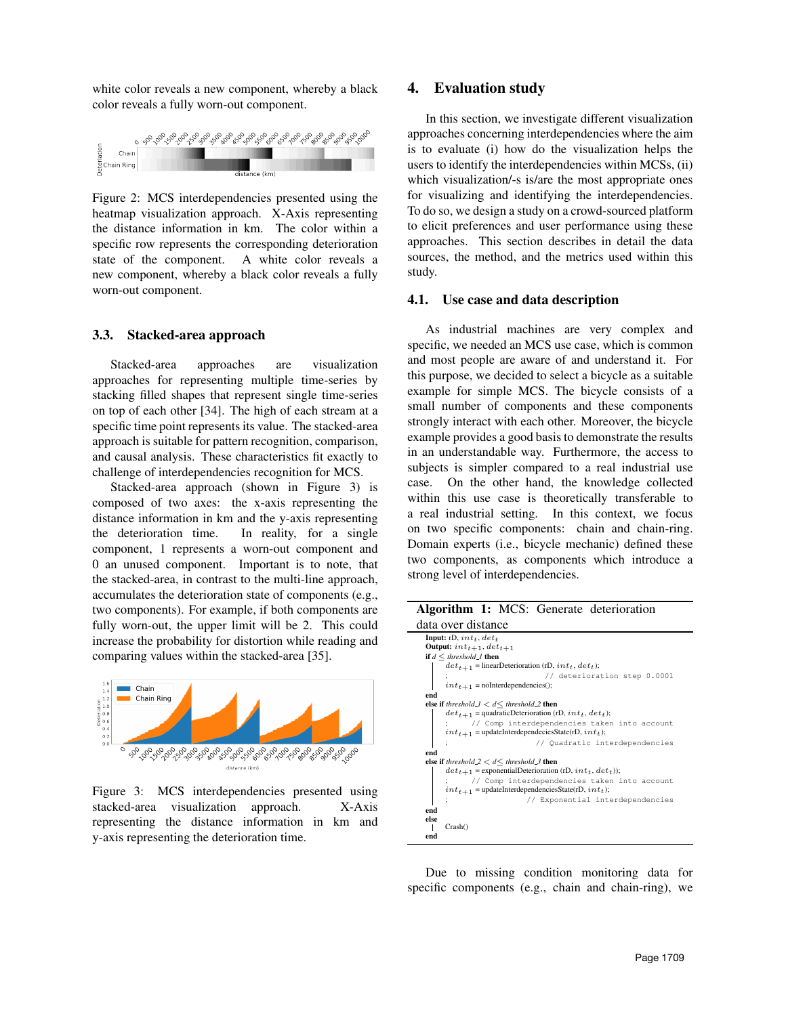white color reveals a new component, whereby a black color reveals a fully worn-out component.



Figure 2: MCS interdependencies presented using the heatmap visualization approach. X-Axis representing the distance information in km. The color within a specific row represents the corresponding deterioration state of the component. A white color reveals a new component, whereby a black color reveals a fully worn-out component.

### 3.3. Stacked-area approach

Stacked-area approaches are visualization approaches for representing multiple time-series by stacking filled shapes that represent single time-series on top of each other [34]. The high of each stream at a specific time point represents its value. The stacked-area approach is suitable for pattern recognition, comparison, and causal analysis. These characteristics fit exactly to challenge of interdependencies recognition for MCS.

Stacked-area approach (shown in Figure 3) is composed of two axes: the x-axis representing the distance information in km and the y-axis representing the deterioration time. In reality, for a single component, 1 represents a worn-out component and 0 an unused component. Important is to note, that the stacked-area, in contrast to the multi-line approach, accumulates the deterioration state of components (e.g., two components). For example, if both components are fully worn-out, the upper limit will be 2. This could increase the probability for distortion while reading and comparing values within the stacked-area [35].



Figure 3: MCS interdependencies presented using stacked-area visualization approach. X-Axis representing the distance information in km and y-axis representing the deterioration time.

# 4. Evaluation study

In this section, we investigate different visualization approaches concerning interdependencies where the aim is to evaluate (i) how do the visualization helps the users to identify the interdependencies within MCSs, (ii) which visualization/-s is/are the most appropriate ones for visualizing and identifying the interdependencies. To do so, we design a study on a crowd-sourced platform to elicit preferences and user performance using these approaches. This section describes in detail the data sources, the method, and the metrics used within this study.

#### 4.1. Use case and data description

As industrial machines are very complex and specific, we needed an MCS use case, which is common and most people are aware of and understand it. For this purpose, we decided to select a bicycle as a suitable example for simple MCS. The bicycle consists of a small number of components and these components strongly interact with each other. Moreover, the bicycle example provides a good basis to demonstrate the results in an understandable way. Furthermore, the access to subjects is simpler compared to a real industrial use case. On the other hand, the knowledge collected within this use case is theoretically transferable to a real industrial setting. In this context, we focus on two specific components: chain and chain-ring. Domain experts (i.e., bicycle mechanic) defined these two components, as components which introduce a strong level of interdependencies.

#### Algorithm 1: MCS: Generate deterioration data over distance

| uaia ovu uisianie                                                                                           |  |  |  |  |  |  |  |
|-------------------------------------------------------------------------------------------------------------|--|--|--|--|--|--|--|
| <b>Input:</b> rD, $int_t$ , $det_t$                                                                         |  |  |  |  |  |  |  |
| Output: $int_{t+1}$ , $det_{t+1}$                                                                           |  |  |  |  |  |  |  |
| if $d \leq threshold\_l$ then                                                                               |  |  |  |  |  |  |  |
| $det_{t+1}$ = linearDeterioration (rD, $int_t, det_t$ );                                                    |  |  |  |  |  |  |  |
| // deterioration step 0.0001                                                                                |  |  |  |  |  |  |  |
| ;<br>$\displaystyle\!int_{t+1}$ = no<br>Interdependencies();                                                |  |  |  |  |  |  |  |
| end                                                                                                         |  |  |  |  |  |  |  |
| else if threshold_ $1 < d \leq$ threshold_2 then                                                            |  |  |  |  |  |  |  |
| $det_{t+1}$ = quadraticDeterioration (rD, $int_t, det_t$ );                                                 |  |  |  |  |  |  |  |
| : // Comp interdependencies taken into account                                                              |  |  |  |  |  |  |  |
| $int_{t+1}$ = updateInterdependeciesState(rD, $int_{t}$ );                                                  |  |  |  |  |  |  |  |
| // Quadratic interdependencies                                                                              |  |  |  |  |  |  |  |
| end                                                                                                         |  |  |  |  |  |  |  |
| else if threshold $2 < d \leq$ threshold 3 then                                                             |  |  |  |  |  |  |  |
| $det_{t+1}$ = exponentialDeterioration (rD, $int_t, det_t$ ));                                              |  |  |  |  |  |  |  |
| ; // Comp interdependencies taken into account<br>$int_{t+1}$ = updateInterdependenciesState(rD, $int_t$ ); |  |  |  |  |  |  |  |
| // Exponential interdependencies                                                                            |  |  |  |  |  |  |  |
| end                                                                                                         |  |  |  |  |  |  |  |
| else                                                                                                        |  |  |  |  |  |  |  |
| Crash()                                                                                                     |  |  |  |  |  |  |  |
| end                                                                                                         |  |  |  |  |  |  |  |

Due to missing condition monitoring data for specific components (e.g., chain and chain-ring), we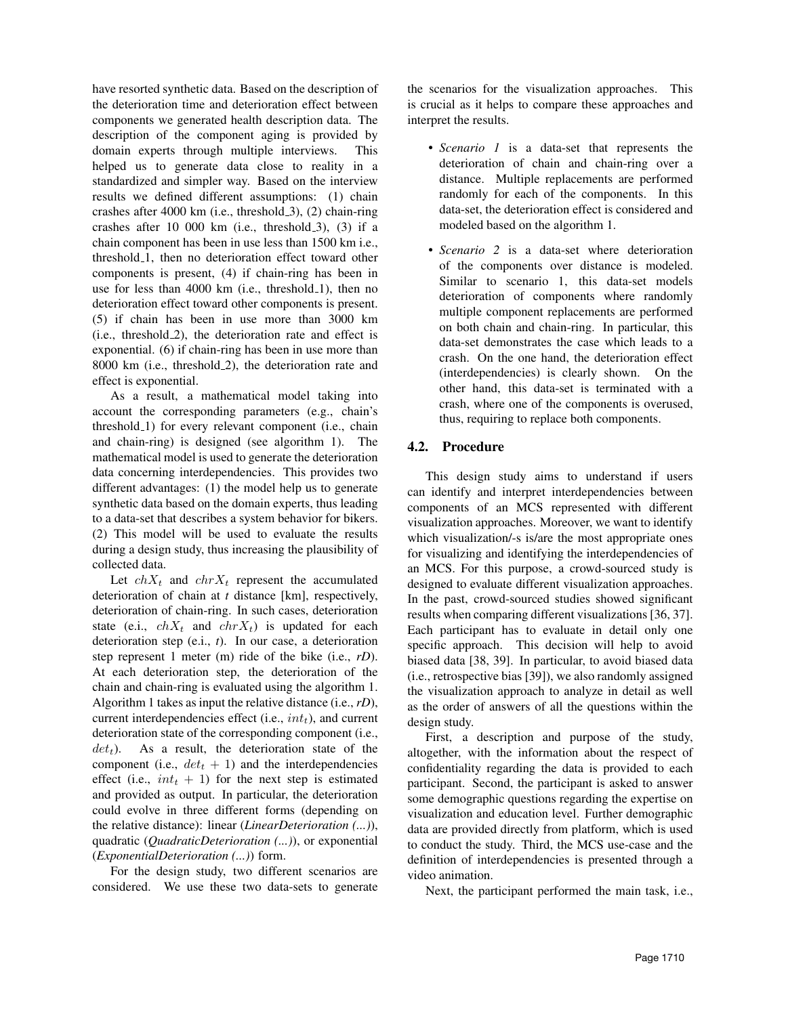have resorted synthetic data. Based on the description of the deterioration time and deterioration effect between components we generated health description data. The description of the component aging is provided by domain experts through multiple interviews. This helped us to generate data close to reality in a standardized and simpler way. Based on the interview results we defined different assumptions: (1) chain crashes after 4000 km (i.e., threshold 3), (2) chain-ring crashes after  $10\ 000\ km$  (i.e., threshold  $3$ ),  $(3)$  if a chain component has been in use less than 1500 km i.e., threshold<sub>-1</sub>, then no deterioration effect toward other components is present, (4) if chain-ring has been in use for less than  $4000 \text{ km}$  (i.e., threshold 1), then no deterioration effect toward other components is present. (5) if chain has been in use more than 3000 km (i.e., threshold 2), the deterioration rate and effect is exponential. (6) if chain-ring has been in use more than 8000 km (i.e., threshold 2), the deterioration rate and effect is exponential.

As a result, a mathematical model taking into account the corresponding parameters (e.g., chain's threshold 1) for every relevant component (i.e., chain and chain-ring) is designed (see algorithm 1). The mathematical model is used to generate the deterioration data concerning interdependencies. This provides two different advantages: (1) the model help us to generate synthetic data based on the domain experts, thus leading to a data-set that describes a system behavior for bikers. (2) This model will be used to evaluate the results during a design study, thus increasing the plausibility of collected data.

Let  $chX_t$  and  $chY_t$  represent the accumulated deterioration of chain at *t* distance [km], respectively, deterioration of chain-ring. In such cases, deterioration state (e.i.,  $chX_t$  and  $chY_t$ ) is updated for each deterioration step (e.i., *t*). In our case, a deterioration step represent 1 meter (m) ride of the bike (i.e., *rD*). At each deterioration step, the deterioration of the chain and chain-ring is evaluated using the algorithm 1. Algorithm 1 takes as input the relative distance (i.e., *rD*), current interdependencies effect (i.e.,  $int_t$ ), and current deterioration state of the corresponding component (i.e.,  $det<sub>t</sub>$ ). As a result, the deterioration state of the component (i.e.,  $det_t + 1$ ) and the interdependencies effect (i.e.,  $int_t + 1$ ) for the next step is estimated and provided as output. In particular, the deterioration could evolve in three different forms (depending on the relative distance): linear (*LinearDeterioration (...)*), quadratic (*QuadraticDeterioration (...)*), or exponential (*ExponentialDeterioration (...)*) form.

For the design study, two different scenarios are considered. We use these two data-sets to generate the scenarios for the visualization approaches. This is crucial as it helps to compare these approaches and interpret the results.

- *Scenario 1* is a data-set that represents the deterioration of chain and chain-ring over a distance. Multiple replacements are performed randomly for each of the components. In this data-set, the deterioration effect is considered and modeled based on the algorithm 1.
- *Scenario 2* is a data-set where deterioration of the components over distance is modeled. Similar to scenario 1, this data-set models deterioration of components where randomly multiple component replacements are performed on both chain and chain-ring. In particular, this data-set demonstrates the case which leads to a crash. On the one hand, the deterioration effect (interdependencies) is clearly shown. On the other hand, this data-set is terminated with a crash, where one of the components is overused, thus, requiring to replace both components.

# 4.2. Procedure

This design study aims to understand if users can identify and interpret interdependencies between components of an MCS represented with different visualization approaches. Moreover, we want to identify which visualization/-s is/are the most appropriate ones for visualizing and identifying the interdependencies of an MCS. For this purpose, a crowd-sourced study is designed to evaluate different visualization approaches. In the past, crowd-sourced studies showed significant results when comparing different visualizations [36, 37]. Each participant has to evaluate in detail only one specific approach. This decision will help to avoid biased data [38, 39]. In particular, to avoid biased data (i.e., retrospective bias [39]), we also randomly assigned the visualization approach to analyze in detail as well as the order of answers of all the questions within the design study.

First, a description and purpose of the study, altogether, with the information about the respect of confidentiality regarding the data is provided to each participant. Second, the participant is asked to answer some demographic questions regarding the expertise on visualization and education level. Further demographic data are provided directly from platform, which is used to conduct the study. Third, the MCS use-case and the definition of interdependencies is presented through a video animation.

Next, the participant performed the main task, i.e.,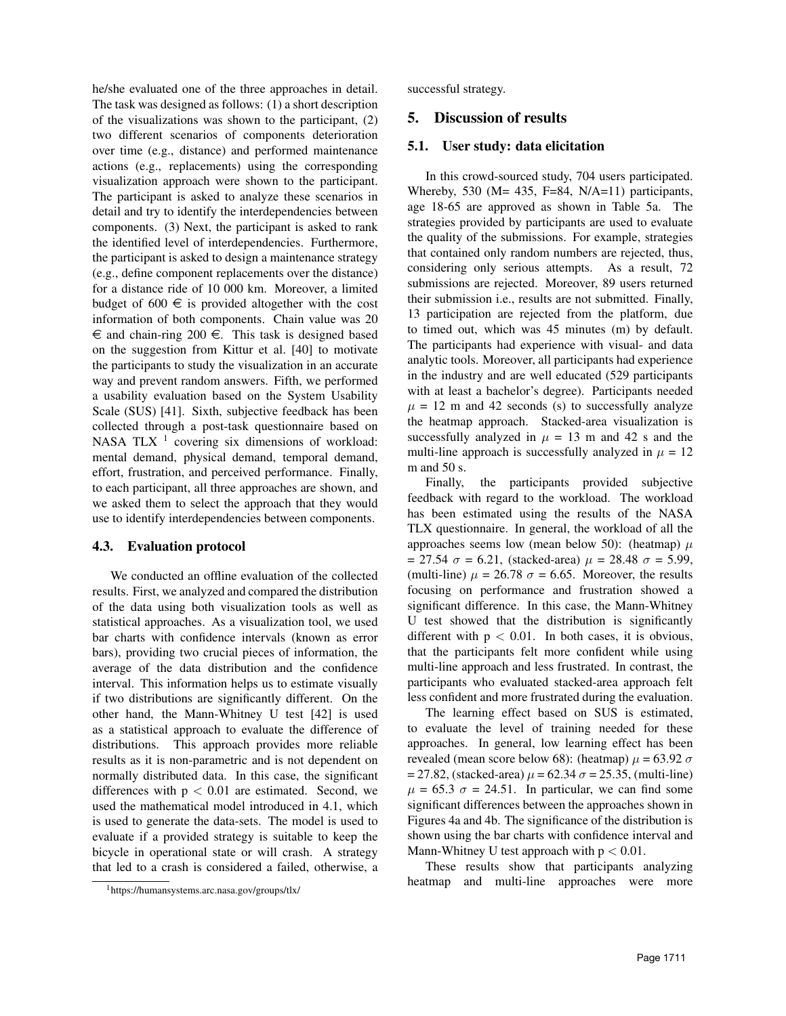he/she evaluated one of the three approaches in detail. The task was designed as follows: (1) a short description of the visualizations was shown to the participant, (2) two different scenarios of components deterioration over time (e.g., distance) and performed maintenance actions (e.g., replacements) using the corresponding visualization approach were shown to the participant. The participant is asked to analyze these scenarios in detail and try to identify the interdependencies between components. (3) Next, the participant is asked to rank the identified level of interdependencies. Furthermore, the participant is asked to design a maintenance strategy (e.g., define component replacements over the distance) for a distance ride of 10 000 km. Moreover, a limited budget of 600  $\in$  is provided altogether with the cost information of both components. Chain value was 20  $\epsilon$  and chain-ring 200  $\epsilon$ . This task is designed based on the suggestion from Kittur et al. [40] to motivate the participants to study the visualization in an accurate way and prevent random answers. Fifth, we performed a usability evaluation based on the System Usability Scale (SUS) [41]. Sixth, subjective feedback has been collected through a post-task questionnaire based on NASA TLX  $<sup>1</sup>$  covering six dimensions of workload:</sup> mental demand, physical demand, temporal demand, effort, frustration, and perceived performance. Finally, to each participant, all three approaches are shown, and we asked them to select the approach that they would use to identify interdependencies between components.

### 4.3. Evaluation protocol

We conducted an offline evaluation of the collected results. First, we analyzed and compared the distribution of the data using both visualization tools as well as statistical approaches. As a visualization tool, we used bar charts with confidence intervals (known as error bars), providing two crucial pieces of information, the average of the data distribution and the confidence interval. This information helps us to estimate visually if two distributions are significantly different. On the other hand, the Mann-Whitney U test [42] is used as a statistical approach to evaluate the difference of distributions. This approach provides more reliable results as it is non-parametric and is not dependent on normally distributed data. In this case, the significant differences with  $p < 0.01$  are estimated. Second, we used the mathematical model introduced in 4.1, which is used to generate the data-sets. The model is used to evaluate if a provided strategy is suitable to keep the bicycle in operational state or will crash. A strategy that led to a crash is considered a failed, otherwise, a

successful strategy.

### 5. Discussion of results

### 5.1. User study: data elicitation

In this crowd-sourced study, 704 users participated. Whereby, 530 (M= 435, F=84, N/A=11) participants, age 18-65 are approved as shown in Table 5a. The strategies provided by participants are used to evaluate the quality of the submissions. For example, strategies that contained only random numbers are rejected, thus, considering only serious attempts. As a result, 72 submissions are rejected. Moreover, 89 users returned their submission i.e., results are not submitted. Finally, 13 participation are rejected from the platform, due to timed out, which was 45 minutes (m) by default. The participants had experience with visual- and data analytic tools. Moreover, all participants had experience in the industry and are well educated (529 participants with at least a bachelor's degree). Participants needed  $\mu$  = 12 m and 42 seconds (s) to successfully analyze the heatmap approach. Stacked-area visualization is successfully analyzed in  $\mu = 13$  m and 42 s and the multi-line approach is successfully analyzed in  $\mu = 12$ m and 50 s.

Finally, the participants provided subjective feedback with regard to the workload. The workload has been estimated using the results of the NASA TLX questionnaire. In general, the workload of all the approaches seems low (mean below 50): (heatmap)  $\mu$ = 27.54  $\sigma$  = 6.21, (stacked-area)  $\mu$  = 28.48  $\sigma$  = 5.99, (multi-line)  $\mu = 26.78 \sigma = 6.65$ . Moreover, the results focusing on performance and frustration showed a significant difference. In this case, the Mann-Whitney U test showed that the distribution is significantly different with  $p < 0.01$ . In both cases, it is obvious, that the participants felt more confident while using multi-line approach and less frustrated. In contrast, the participants who evaluated stacked-area approach felt less confident and more frustrated during the evaluation.

The learning effect based on SUS is estimated, to evaluate the level of training needed for these approaches. In general, low learning effect has been revealed (mean score below 68): (heatmap)  $\mu$  = 63.92  $\sigma$  $= 27.82$ , (stacked-area)  $\mu = 62.34 \sigma = 25.35$ , (multi-line)  $\mu$  = 65.3  $\sigma$  = 24.51. In particular, we can find some significant differences between the approaches shown in Figures 4a and 4b. The significance of the distribution is shown using the bar charts with confidence interval and Mann-Whitney U test approach with  $p < 0.01$ .

These results show that participants analyzing heatmap and multi-line approaches were more

<sup>1</sup>https://humansystems.arc.nasa.gov/groups/tlx/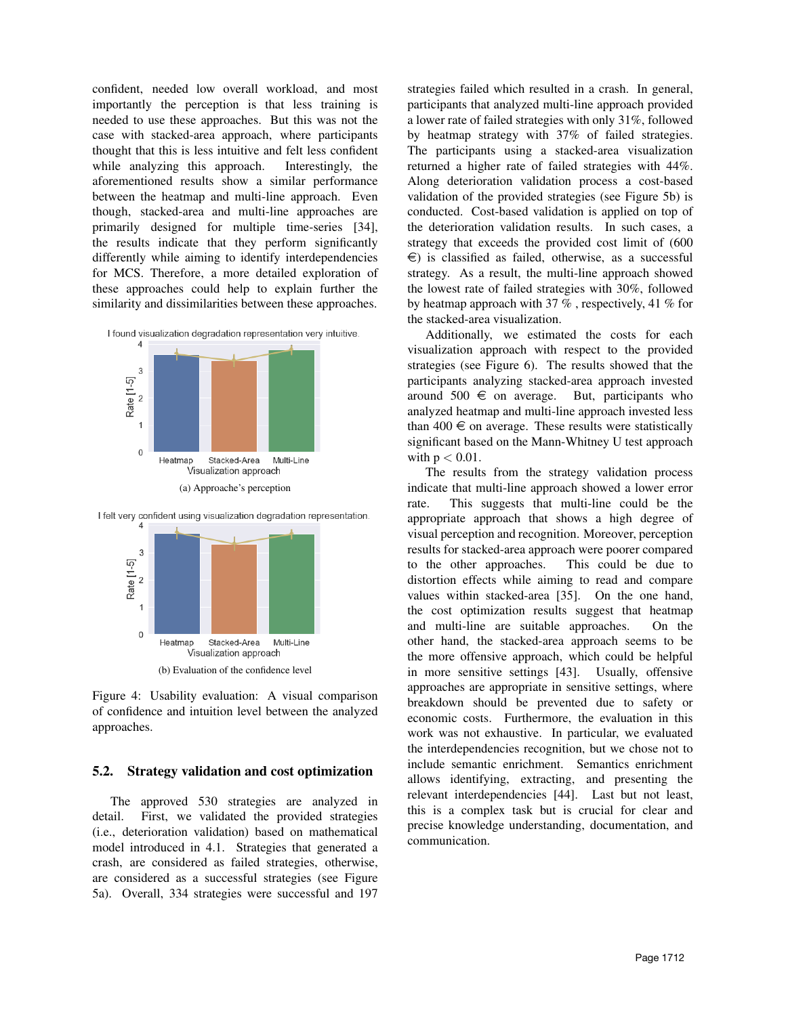confident, needed low overall workload, and most importantly the perception is that less training is needed to use these approaches. But this was not the case with stacked-area approach, where participants thought that this is less intuitive and felt less confident while analyzing this approach. Interestingly, the aforementioned results show a similar performance between the heatmap and multi-line approach. Even though, stacked-area and multi-line approaches are primarily designed for multiple time-series [34], the results indicate that they perform significantly differently while aiming to identify interdependencies for MCS. Therefore, a more detailed exploration of these approaches could help to explain further the similarity and dissimilarities between these approaches.



(a) Approache's perception



I felt very confident using visualization degradation representation.

Figure 4: Usability evaluation: A visual comparison of confidence and intuition level between the analyzed approaches.

#### 5.2. Strategy validation and cost optimization

The approved 530 strategies are analyzed in detail. First, we validated the provided strategies (i.e., deterioration validation) based on mathematical model introduced in 4.1. Strategies that generated a crash, are considered as failed strategies, otherwise, are considered as a successful strategies (see Figure 5a). Overall, 334 strategies were successful and 197

strategies failed which resulted in a crash. In general, participants that analyzed multi-line approach provided a lower rate of failed strategies with only 31%, followed by heatmap strategy with 37% of failed strategies. The participants using a stacked-area visualization returned a higher rate of failed strategies with 44%. Along deterioration validation process a cost-based validation of the provided strategies (see Figure 5b) is conducted. Cost-based validation is applied on top of the deterioration validation results. In such cases, a strategy that exceeds the provided cost limit of (600  $\epsilon$ ) is classified as failed, otherwise, as a successful strategy. As a result, the multi-line approach showed the lowest rate of failed strategies with 30%, followed by heatmap approach with 37 % , respectively, 41 % for the stacked-area visualization.

Additionally, we estimated the costs for each visualization approach with respect to the provided strategies (see Figure 6). The results showed that the participants analyzing stacked-area approach invested around 500  $\in$  on average. But, participants who analyzed heatmap and multi-line approach invested less than  $400 \in \text{on average}$ . These results were statistically significant based on the Mann-Whitney U test approach with  $p < 0.01$ .

The results from the strategy validation process indicate that multi-line approach showed a lower error rate. This suggests that multi-line could be the appropriate approach that shows a high degree of visual perception and recognition. Moreover, perception results for stacked-area approach were poorer compared to the other approaches. This could be due to distortion effects while aiming to read and compare values within stacked-area [35]. On the one hand, the cost optimization results suggest that heatmap and multi-line are suitable approaches. On the other hand, the stacked-area approach seems to be the more offensive approach, which could be helpful in more sensitive settings [43]. Usually, offensive approaches are appropriate in sensitive settings, where breakdown should be prevented due to safety or economic costs. Furthermore, the evaluation in this work was not exhaustive. In particular, we evaluated the interdependencies recognition, but we chose not to include semantic enrichment. Semantics enrichment allows identifying, extracting, and presenting the relevant interdependencies [44]. Last but not least, this is a complex task but is crucial for clear and precise knowledge understanding, documentation, and communication.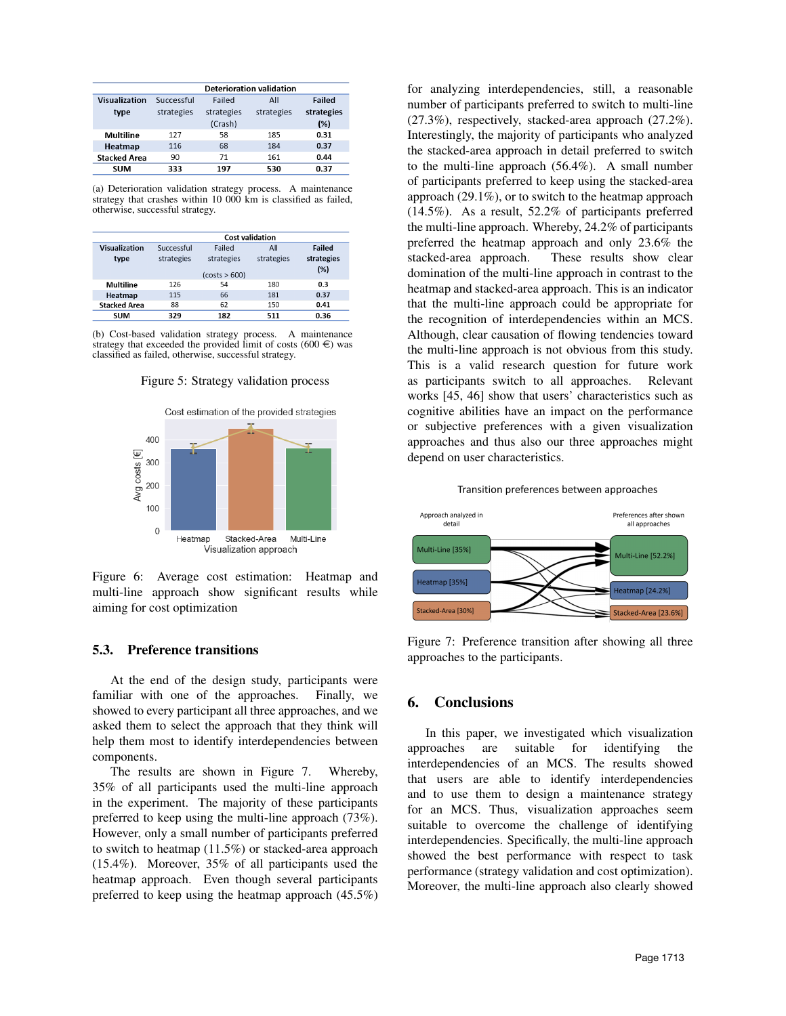|                     | <b>Deterioration validation</b> |            |            |            |  |
|---------------------|---------------------------------|------------|------------|------------|--|
| Visualization       | Successful                      | Failed     | All        | Failed     |  |
| type                | strategies                      | strategies | strategies | strategies |  |
|                     |                                 | (Crash)    |            | (% )       |  |
| Multiline           | 127                             | 58         | 185        | 0.31       |  |
| Heatmap             | 116                             | 68         | 184        | 0.37       |  |
| <b>Stacked Area</b> | 90                              | 71         | 161        | 0.44       |  |
| <b>SUM</b>          | 333                             | 197        | 530        | 0.37       |  |

(a) Deterioration validation strategy process. A maintenance strategy that crashes within 10 000 km is classified as failed, otherwise, successful strategy.

|                     | <b>Cost validation</b> |               |            |            |  |
|---------------------|------------------------|---------------|------------|------------|--|
| Visualization       | Successful             | Failed        | All        | Failed     |  |
| type                | strategies             | strategies    | strategies | strategies |  |
|                     |                        | (costs > 600) |            | (%)        |  |
| <b>Multiline</b>    | 126                    | 54            | 180        | 0.3        |  |
| Heatmap             | 115                    | 66            | 181        | 0.37       |  |
| <b>Stacked Area</b> | 88                     | 62            | 150        | 0.41       |  |
| <b>SUM</b>          | 329                    | 182           | 511        | 0.36       |  |

(b) Cost-based validation strategy process. A maintenance strategy that exceeded the provided limit of costs (600  $\in$ ) was classified as failed, otherwise, successful strategy.





Figure 6: Average cost estimation: Heatmap and multi-line approach show significant results while aiming for cost optimization

### 5.3. Preference transitions

At the end of the design study, participants were familiar with one of the approaches. Finally, we showed to every participant all three approaches, and we asked them to select the approach that they think will help them most to identify interdependencies between components.

The results are shown in Figure 7. Whereby, 35% of all participants used the multi-line approach in the experiment. The majority of these participants preferred to keep using the multi-line approach (73%). However, only a small number of participants preferred to switch to heatmap (11.5%) or stacked-area approach (15.4%). Moreover, 35% of all participants used the heatmap approach. Even though several participants preferred to keep using the heatmap approach (45.5%)

for analyzing interdependencies, still, a reasonable number of participants preferred to switch to multi-line (27.3%), respectively, stacked-area approach (27.2%). Interestingly, the majority of participants who analyzed the stacked-area approach in detail preferred to switch to the multi-line approach (56.4%). A small number of participants preferred to keep using the stacked-area approach (29.1%), or to switch to the heatmap approach (14.5%). As a result, 52.2% of participants preferred the multi-line approach. Whereby, 24.2% of participants preferred the heatmap approach and only 23.6% the stacked-area approach. These results show clear domination of the multi-line approach in contrast to the heatmap and stacked-area approach. This is an indicator that the multi-line approach could be appropriate for the recognition of interdependencies within an MCS. Although, clear causation of flowing tendencies toward the multi-line approach is not obvious from this study. This is a valid research question for future work as participants switch to all approaches. Relevant works [45, 46] show that users' characteristics such as cognitive abilities have an impact on the performance or subjective preferences with a given visualization approaches and thus also our three approaches might depend on user characteristics.





Figure 7: Preference transition after showing all three approaches to the participants.

### 6. Conclusions

In this paper, we investigated which visualization approaches are suitable for identifying the interdependencies of an MCS. The results showed that users are able to identify interdependencies and to use them to design a maintenance strategy for an MCS. Thus, visualization approaches seem suitable to overcome the challenge of identifying interdependencies. Specifically, the multi-line approach showed the best performance with respect to task performance (strategy validation and cost optimization). Moreover, the multi-line approach also clearly showed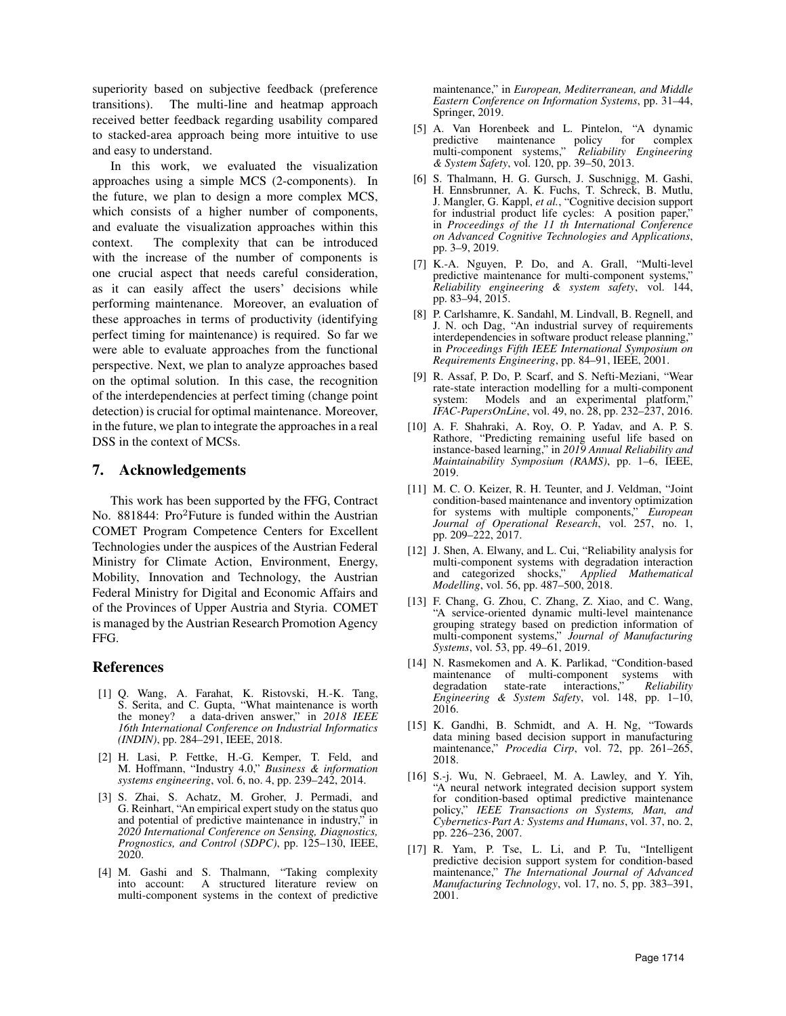superiority based on subjective feedback (preference transitions). The multi-line and heatmap approach received better feedback regarding usability compared to stacked-area approach being more intuitive to use and easy to understand.

In this work, we evaluated the visualization approaches using a simple MCS (2-components). In the future, we plan to design a more complex MCS, which consists of a higher number of components, and evaluate the visualization approaches within this context. The complexity that can be introduced with the increase of the number of components is one crucial aspect that needs careful consideration, as it can easily affect the users' decisions while performing maintenance. Moreover, an evaluation of these approaches in terms of productivity (identifying perfect timing for maintenance) is required. So far we were able to evaluate approaches from the functional perspective. Next, we plan to analyze approaches based on the optimal solution. In this case, the recognition of the interdependencies at perfect timing (change point detection) is crucial for optimal maintenance. Moreover, in the future, we plan to integrate the approaches in a real DSS in the context of MCSs.

### 7. Acknowledgements

This work has been supported by the FFG, Contract No. 881844: Pro<sup>2</sup>Future is funded within the Austrian COMET Program Competence Centers for Excellent Technologies under the auspices of the Austrian Federal Ministry for Climate Action, Environment, Energy, Mobility, Innovation and Technology, the Austrian Federal Ministry for Digital and Economic Affairs and of the Provinces of Upper Austria and Styria. COMET is managed by the Austrian Research Promotion Agency FFG.

### References

- [1] Q. Wang, A. Farahat, K. Ristovski, H.-K. Tang, S. Serita, and C. Gupta, "What maintenance is worth the money? a data-driven answer," in *2018 IEEE 16th International Conference on Industrial Informatics (INDIN)*, pp. 284–291, IEEE, 2018.
- [2] H. Lasi, P. Fettke, H.-G. Kemper, T. Feld, and M. Hoffmann, "Industry 4.0," *Business & information systems engineering*, vol. 6, no. 4, pp. 239–242, 2014.
- [3] S. Zhai, S. Achatz, M. Groher, J. Permadi, and G. Reinhart, "An empirical expert study on the status quo and potential of predictive maintenance in industry," in *2020 International Conference on Sensing, Diagnostics, Prognostics, and Control (SDPC)*, pp. 125–130, IEEE, 2020.
- [4] M. Gashi and S. Thalmann, "Taking complexity into account: A structured literature review on multi-component systems in the context of predictive

maintenance," in *European, Mediterranean, and Middle Eastern Conference on Information Systems*, pp. 31–44, Springer, 2019.

- [5] A. Van Horenbeek and L. Pintelon, "A dynamic predictive maintenance policy for complex multi-component systems," *Reliability Engineering & System Safety*, vol. 120, pp. 39–50, 2013.
- [6] S. Thalmann, H. G. Gursch, J. Suschnigg, M. Gashi, H. Ennsbrunner, A. K. Fuchs, T. Schreck, B. Mutlu, J. Mangler, G. Kappl, *et al.*, "Cognitive decision support for industrial product life cycles: A position paper," in *Proceedings of the 11 th International Conference on Advanced Cognitive Technologies and Applications*, pp. 3–9, 2019.
- [7] K.-A. Nguyen, P. Do, and A. Grall, "Multi-level predictive maintenance for multi-component systems," *Reliability engineering & system safety*, vol. 144, pp. 83–94, 2015.
- [8] P. Carlshamre, K. Sandahl, M. Lindvall, B. Regnell, and J. N. och Dag, "An industrial survey of requirements interdependencies in software product release planning, in *Proceedings Fifth IEEE International Symposium on Requirements Engineering*, pp. 84–91, IEEE, 2001.
- [9] R. Assaf, P. Do, P. Scarf, and S. Nefti-Meziani, "Wear rate-state interaction modelling for a multi-component system: Models and an experimental platform," *IFAC-PapersOnLine*, vol. 49, no. 28, pp. 232–237, 2016.
- [10] A. F. Shahraki, A. Roy, O. P. Yadav, and A. P. S. Rathore, "Predicting remaining useful life based on instance-based learning," in *2019 Annual Reliability and Maintainability Symposium (RAMS)*, pp. 1–6, IEEE, 2019.
- [11] M. C. O. Keizer, R. H. Teunter, and J. Veldman, "Joint condition-based maintenance and inventory optimization for systems with multiple components," *European Journal of Operational Research*, vol. 257, no. 1, pp. 209–222, 2017.
- [12] J. Shen, A. Elwany, and L. Cui, "Reliability analysis for multi-component systems with degradation interaction and categorized shocks," *Applied Mathematical Modelling*, vol. 56, pp. 487–500, 2018.
- [13] F. Chang, G. Zhou, C. Zhang, Z. Xiao, and C. Wang, "A service-oriented dynamic multi-level maintenance grouping strategy based on prediction information of multi-component systems," *Journal of Manufacturing Systems*, vol. 53, pp. 49–61, 2019.
- [14] N. Rasmekomen and A. K. Parlikad, "Condition-based maintenance of multi-component systems with degradation state-rate interactions," *Reliability Engineering & System Safety*, vol. 148, pp. 1–10, 2016.
- [15] K. Gandhi, B. Schmidt, and A. H. Ng, "Towards data mining based decision support in manufacturing maintenance," Procedia Cirp, vol. 72, pp. 261-265, 2018.
- [16] S.-j. Wu, N. Gebraeel, M. A. Lawley, and Y. Yih, "A neural network integrated decision support system for condition-based optimal predictive maintenance policy," *IEEE Transactions on Systems, Man, and Cybernetics-Part A: Systems and Humans*, vol. 37, no. 2, pp. 226–236, 2007.
- [17] R. Yam, P. Tse, L. Li, and P. Tu, "Intelligent predictive decision support system for condition-based maintenance," *The International Journal of Advanced Manufacturing Technology*, vol. 17, no. 5, pp. 383–391, 2001.